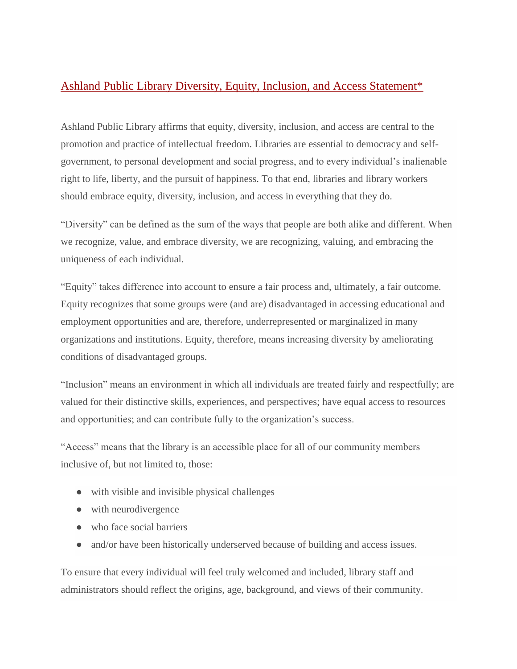## Ashland Public Library Diversity, Equity, Inclusion, and Access Statement\*

Ashland Public Library affirms that equity, diversity, inclusion, and access are central to the promotion and practice of intellectual freedom. Libraries are essential to democracy and selfgovernment, to personal development and social progress, and to every individual's inalienable right to life, liberty, and the pursuit of happiness. To that end, libraries and library workers should embrace equity, diversity, inclusion, and access in everything that they do.

"Diversity" can be defined as the sum of the ways that people are both alike and different. When we recognize, value, and embrace diversity, we are recognizing, valuing, and embracing the uniqueness of each individual.

"Equity" takes difference into account to ensure a fair process and, ultimately, a fair outcome. Equity recognizes that some groups were (and are) disadvantaged in accessing educational and employment opportunities and are, therefore, underrepresented or marginalized in many organizations and institutions. Equity, therefore, means increasing diversity by ameliorating conditions of disadvantaged groups.

"Inclusion" means an environment in which all individuals are treated fairly and respectfully; are valued for their distinctive skills, experiences, and perspectives; have equal access to resources and opportunities; and can contribute fully to the organization's success.

"Access" means that the library is an accessible place for all of our community members inclusive of, but not limited to, those:

- with visible and invisible physical challenges
- with neurodivergence
- who face social barriers
- and/or have been historically underserved because of building and access issues.

To ensure that every individual will feel truly welcomed and included, library staff and administrators should reflect the origins, age, background, and views of their community.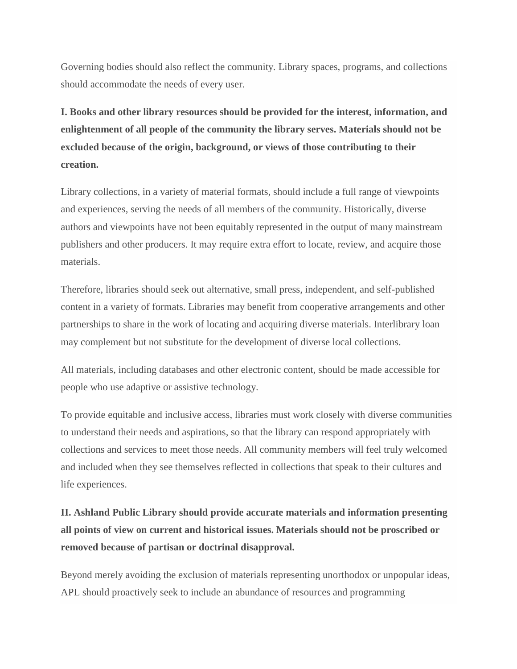Governing bodies should also reflect the community. Library spaces, programs, and collections should accommodate the needs of every user.

**I. Books and other library resources should be provided for the interest, information, and enlightenment of all people of the community the library serves. Materials should not be excluded because of the origin, background, or views of those contributing to their creation.**

Library collections, in a variety of material formats, should include a full range of viewpoints and experiences, serving the needs of all members of the community. Historically, diverse authors and viewpoints have not been equitably represented in the output of many mainstream publishers and other producers. It may require extra effort to locate, review, and acquire those materials.

Therefore, libraries should seek out alternative, small press, independent, and self-published content in a variety of formats. Libraries may benefit from cooperative arrangements and other partnerships to share in the work of locating and acquiring diverse materials. Interlibrary loan may complement but not substitute for the development of diverse local collections.

All materials, including databases and other electronic content, should be made accessible for people who use adaptive or assistive technology.

To provide equitable and inclusive access, libraries must work closely with diverse communities to understand their needs and aspirations, so that the library can respond appropriately with collections and services to meet those needs. All community members will feel truly welcomed and included when they see themselves reflected in collections that speak to their cultures and life experiences.

**II. Ashland Public Library should provide accurate materials and information presenting all points of view on current and historical issues. Materials should not be proscribed or removed because of partisan or doctrinal disapproval.**

Beyond merely avoiding the exclusion of materials representing unorthodox or unpopular ideas, APL should proactively seek to include an abundance of resources and programming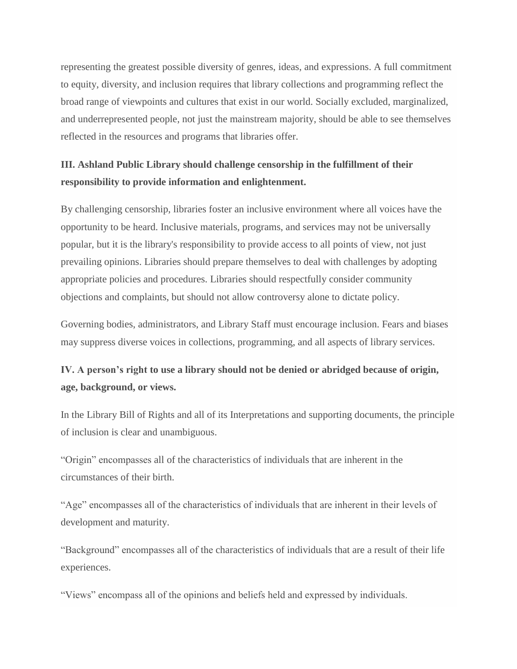representing the greatest possible diversity of genres, ideas, and expressions. A full commitment to equity, diversity, and inclusion requires that library collections and programming reflect the broad range of viewpoints and cultures that exist in our world. Socially excluded, marginalized, and underrepresented people, not just the mainstream majority, should be able to see themselves reflected in the resources and programs that libraries offer.

## **III. Ashland Public Library should challenge censorship in the fulfillment of their responsibility to provide information and enlightenment.**

By challenging censorship, libraries foster an inclusive environment where all voices have the opportunity to be heard. Inclusive materials, programs, and services may not be universally popular, but it is the library's responsibility to provide access to all points of view, not just prevailing opinions. Libraries should prepare themselves to deal with challenges by adopting appropriate policies and procedures. Libraries should respectfully consider community objections and complaints, but should not allow controversy alone to dictate policy.

Governing bodies, administrators, and Library Staff must encourage inclusion. Fears and biases may suppress diverse voices in collections, programming, and all aspects of library services.

## **IV. A person's right to use a library should not be denied or abridged because of origin, age, background, or views.**

In the Library Bill of Rights and all of its Interpretations and supporting documents, the principle of inclusion is clear and unambiguous.

"Origin" encompasses all of the characteristics of individuals that are inherent in the circumstances of their birth.

"Age" encompasses all of the characteristics of individuals that are inherent in their levels of development and maturity.

"Background" encompasses all of the characteristics of individuals that are a result of their life experiences.

"Views" encompass all of the opinions and beliefs held and expressed by individuals.